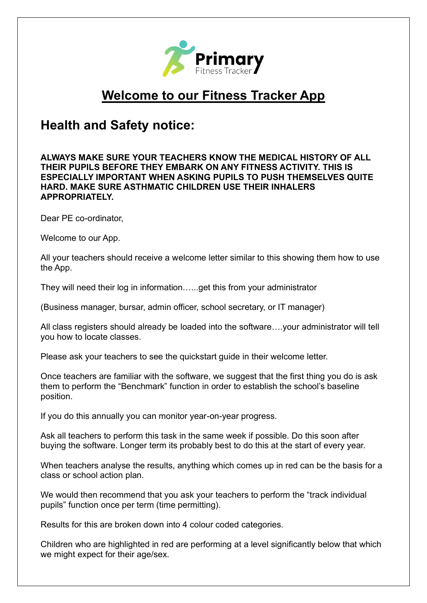

## **Welcome to our Fitness Tracker App**

## **Health and Safety notice:**

## **ALWAYS MAKE SURE YOUR TEACHERS KNOW THE MEDICAL HISTORY OF ALL THEIR PUPILS BEFORE THEY EMBARK ON ANY FITNESS ACTIVITY. THIS IS ESPECIALLY IMPORTANT WHEN ASKING PUPILS TO PUSH THEMSELVES QUITE HARD. MAKE SURE ASTHMATIC CHILDREN USE THEIR INHALERS APPROPRIATELY.**

Dear PE co-ordinator,

Welcome to our App.

All your teachers should receive a welcome letter similar to this showing them how to use the App.

They will need their log in information…...get this from your administrator

(Business manager, bursar, admin officer, school secretary, or IT manager)

All class registers should already be loaded into the software….your administrator will tell you how to locate classes.

Please ask your teachers to see the quickstart guide in their welcome letter.

Once teachers are familiar with the software, we suggest that the first thing you do is ask them to perform the "Benchmark" function in order to establish the school's baseline position.

If you do this annually you can monitor year-on-year progress.

Ask all teachers to perform this task in the same week if possible. Do this soon after buying the software. Longer term its probably best to do this at the start of every year.

When teachers analyse the results, anything which comes up in red can be the basis for a class or school action plan.

We would then recommend that you ask your teachers to perform the "track individual pupils" function once per term (time permitting).

Results for this are broken down into 4 colour coded categories.

Children who are highlighted in red are performing at a level significantly below that which we might expect for their age/sex.